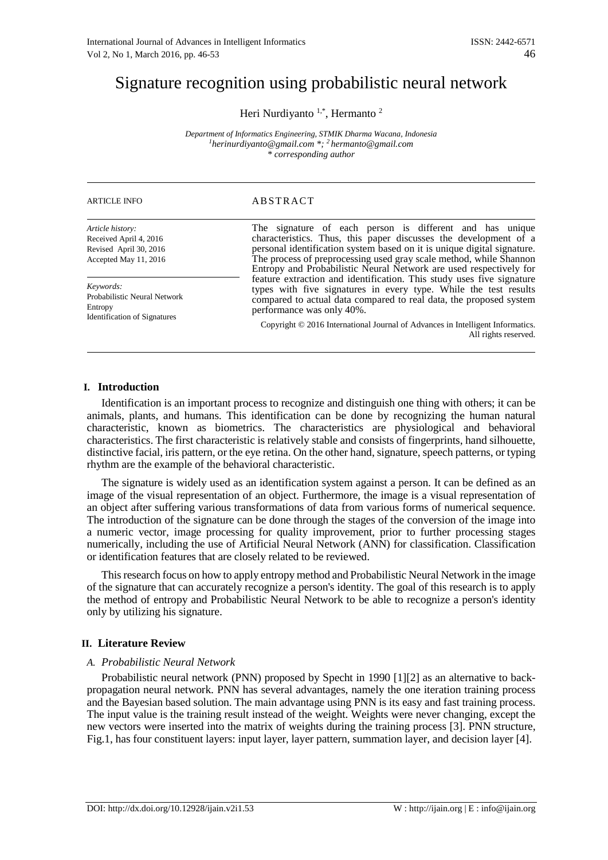# Signature recognition using probabilistic neural network

Heri Nurdiyanto  $1,^*$ , Hermanto  $^2$ 

*Department of Informatics Engineering, STMIK Dharma Wacana, Indonesia 1herinurdiyanto@gmail.com \*; 2 hermanto@gmail.com \* corresponding author*

| <b>ARTICLE INFO</b> |  |
|---------------------|--|
|---------------------|--|

*Article history:* Received April 4, 2016 Revised April 30, 2016 Accepted May 11, 2016

*Keywords:* Probabilistic Neural Network Entropy Identification of Signatures

# ABSTRACT

The signature of each person is different and has unique characteristics. Thus, this paper discusses the development of a personal identification system based on it is unique digital signature. The process of preprocessing used gray scale method, while Shannon Entropy and Probabilistic Neural Network are used respectively for feature extraction and identification. This study uses five signature types with five signatures in every type. While the test results compared to actual data compared to real data, the proposed system performance was only 40%.

Copyright © 2016 International Journal of Advances in Intelligent Informatics. All rights reserved.

# **I. Introduction**

Identification is an important process to recognize and distinguish one thing with others; it can be animals, plants, and humans. This identification can be done by recognizing the human natural characteristic, known as biometrics. The characteristics are physiological and behavioral characteristics. The first characteristic is relatively stable and consists of fingerprints, hand silhouette, distinctive facial, iris pattern, or the eye retina. On the other hand, signature, speech patterns, or typing rhythm are the example of the behavioral characteristic.

The signature is widely used as an identification system against a person. It can be defined as an image of the visual representation of an object. Furthermore, the image is a visual representation of an object after suffering various transformations of data from various forms of numerical sequence. The introduction of the signature can be done through the stages of the conversion of the image into a numeric vector, image processing for quality improvement, prior to further processing stages numerically, including the use of Artificial Neural Network (ANN) for classification. Classification or identification features that are closely related to be reviewed.

This research focus on how to apply entropy method and Probabilistic Neural Network in the image of the signature that can accurately recognize a person's identity. The goal of this research is to apply the method of entropy and Probabilistic Neural Network to be able to recognize a person's identity only by utilizing his signature.

# **II. Literature Review**

# *A. Probabilistic Neural Network*

Probabilistic neural network (PNN) proposed by Specht in 1990 [1][2] as an alternative to backpropagation neural network. PNN has several advantages, namely the one iteration training process and the Bayesian based solution. The main advantage using PNN is its easy and fast training process. The input value is the training result instead of the weight. Weights were never changing, except the new vectors were inserted into the matrix of weights during the training process [3]. PNN structure, Fig.1, has four constituent layers: input layer, layer pattern, summation layer, and decision layer [4].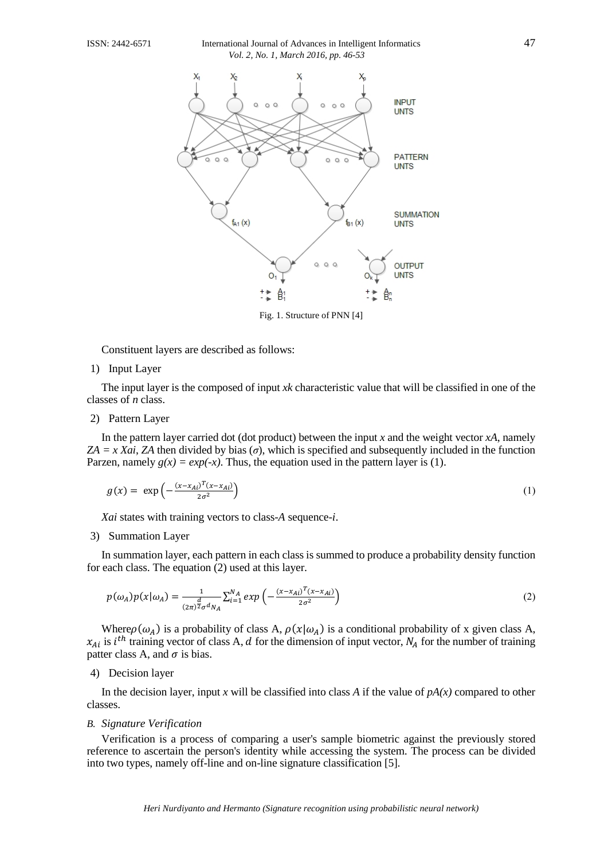#### ISSN: 2442-6571 International Journal of Advances in Intelligent Informatics 47 *Vol. 2, No. 1, March 2016, pp. 46-53*



Fig. 1. Structure of PNN [4]

Constituent layers are described as follows:

#### 1) Input Layer

The input layer is the composed of input *xk* characteristic value that will be classified in one of the classes of *n* class.

# 2) Pattern Layer

In the pattern layer carried dot (dot product) between the input *x* and the weight vector *xA*, namely *ZA = x Xai*, *ZA* then divided by bias (*σ*), which is specified and subsequently included in the function Parzen, namely  $g(x) = exp(-x)$ . Thus, the equation used in the pattern layer is (1).

$$
g(x) = \exp\left(-\frac{(x - x_{Ai})^T (x - x_{Ai})}{2\sigma^2}\right) \tag{1}
$$

*Xai* states with training vectors to class-*A* sequence-*i*.

### 3) Summation Layer

In summation layer, each pattern in each class is summed to produce a probability density function for each class. The equation (2) used at this layer.

$$
p(\omega_A)p(x|\omega_A) = \frac{1}{(2\pi)^{\frac{d}{2}}\sigma^d N_A} \sum_{i=1}^{N_A} exp\left(-\frac{(x-x_{Ai})^T(x-x_{Ai})}{2\sigma^2}\right)
$$
(2)

Where  $\rho(\omega_A)$  is a probability of class A,  $\rho(x|\omega_A)$  is a conditional probability of x given class A,  $x_{Ai}$  is  $i^{th}$  training vector of class A, d for the dimension of input vector,  $N_A$  for the number of training patter class A, and  $\sigma$  is bias.

4) Decision layer

In the decision layer, input *x* will be classified into class *A* if the value of  $pA(x)$  compared to other classes.

### *B. Signature Verification*

Verification is a process of comparing a user's sample biometric against the previously stored reference to ascertain the person's identity while accessing the system. The process can be divided into two types, namely off-line and on-line signature classification [5].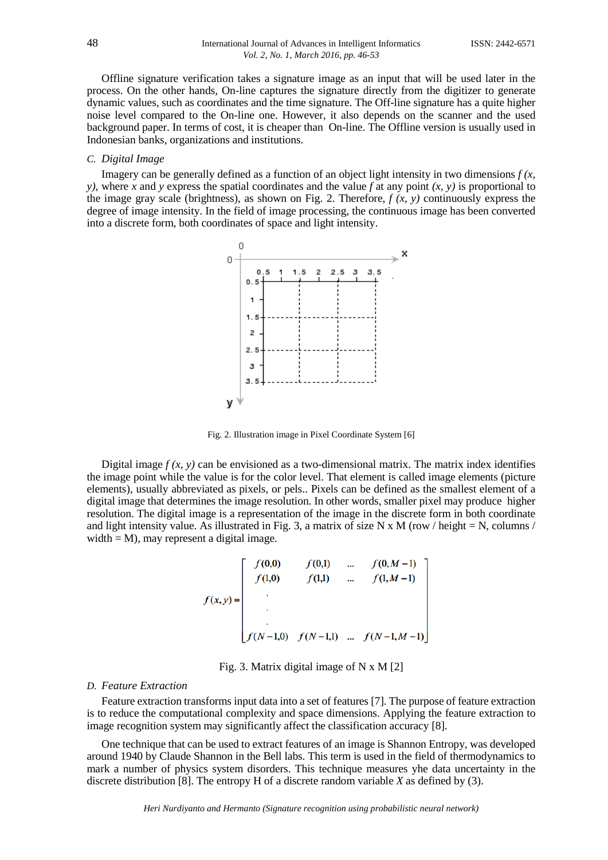Offline signature verification takes a signature image as an input that will be used later in the process. On the other hands, On-line captures the signature directly from the digitizer to generate dynamic values, such as coordinates and the time signature. The Off-line signature has a quite higher noise level compared to the On-line one. However, it also depends on the scanner and the used background paper. In terms of cost, it is cheaper than On-line. The Offline version is usually used in Indonesian banks, organizations and institutions.

#### *C. Digital Image*

Imagery can be generally defined as a function of an object light intensity in two dimensions  $f(x, \theta)$ *y),* where *x* and *y* express the spatial coordinates and the value *f* at any point *(x, y)* is proportional to the image gray scale (brightness), as shown on Fig. 2. Therefore,  $f(x, y)$  continuously express the degree of image intensity. In the field of image processing, the continuous image has been converted into a discrete form, both coordinates of space and light intensity.



Fig. 2. Illustration image in Pixel Coordinate System [6]

Digital image  $f(x, y)$  can be envisioned as a two-dimensional matrix. The matrix index identifies the image point while the value is for the color level. That element is called image elements (picture elements), usually abbreviated as pixels, or pels.. Pixels can be defined as the smallest element of a digital image that determines the image resolution. In other words, smaller pixel may produce higher resolution. The digital image is a representation of the image in the discrete form in both coordinate and light intensity value. As illustrated in Fig. 3, a matrix of size N x M (row / height = N, columns / width  $= M$ ), may represent a digital image.

$$
f(x,y) = \begin{bmatrix} f(0,0) & f(0,1) & \dots & f(0,M-1) \\ f(1,0) & f(1,1) & \dots & f(1,M-1) \\ \vdots & \vdots & \ddots & \vdots \\ f(N-1,0) & f(N-1,1) & \dots & f(N-1,M-1) \end{bmatrix}
$$

Fig. 3. Matrix digital image of N x M [2]

#### *D. Feature Extraction*

Feature extraction transforms input data into a set of features [7]. The purpose of feature extraction is to reduce the computational complexity and space dimensions. Applying the feature extraction to image recognition system may significantly affect the classification accuracy [8].

One technique that can be used to extract features of an image is Shannon Entropy, was developed around 1940 by Claude Shannon in the Bell labs. This term is used in the field of thermodynamics to mark a number of physics system disorders. This technique measures yhe data uncertainty in the discrete distribution [8]. The entropy H of a discrete random variable *X* as defined by (3).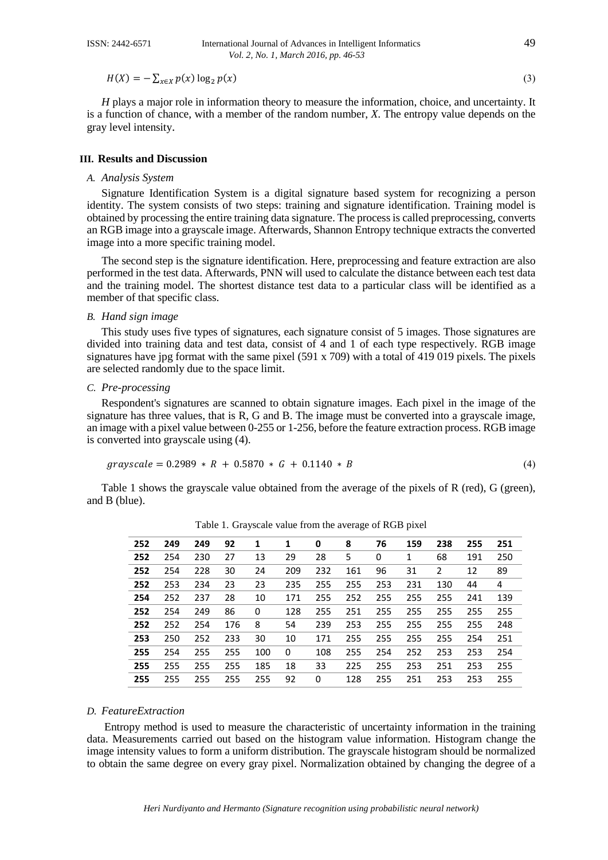$H(X) = -\sum_{x \in X} p(x) \log_2 p(x)$  (3)

*H* plays a major role in information theory to measure the information, choice, and uncertainty. It is a function of chance, with a member of the random number, *X*. The entropy value depends on the gray level intensity.

#### **III. Results and Discussion**

#### *A. Analysis System*

Signature Identification System is a digital signature based system for recognizing a person identity. The system consists of two steps: training and signature identification. Training model is obtained by processing the entire training data signature. The process is called preprocessing, converts an RGB image into a grayscale image. Afterwards, Shannon Entropy technique extracts the converted image into a more specific training model.

The second step is the signature identification. Here, preprocessing and feature extraction are also performed in the test data. Afterwards, PNN will used to calculate the distance between each test data and the training model. The shortest distance test data to a particular class will be identified as a member of that specific class.

#### *B. Hand sign image*

This study uses five types of signatures, each signature consist of 5 images. Those signatures are divided into training data and test data, consist of 4 and 1 of each type respectively. RGB image signatures have jpg format with the same pixel (591 x 709) with a total of 419 019 pixels. The pixels are selected randomly due to the space limit.

#### *C. Pre-processing*

Respondent's signatures are scanned to obtain signature images. Each pixel in the image of the signature has three values, that is R, G and B. The image must be converted into a grayscale image, an image with a pixel value between 0-255 or 1-256, before the feature extraction process. RGB image is converted into grayscale using (4).

$$
grayscale = 0.2989 * R + 0.5870 * G + 0.1140 * B \tag{4}
$$

Table 1 shows the grayscale value obtained from the average of the pixels of R (red), G (green), and B (blue).

| 252 | 249 | 249 | 92  | 1   | 1   | 0   | 8   | 76  | 159 | 238 | 255 | 251 |
|-----|-----|-----|-----|-----|-----|-----|-----|-----|-----|-----|-----|-----|
| 252 | 254 | 230 | 27  | 13  | 29  | 28  | 5   | 0   | 1   | 68  | 191 | 250 |
| 252 | 254 | 228 | 30  | 24  | 209 | 232 | 161 | 96  | 31  | 2   | 12  | 89  |
| 252 | 253 | 234 | 23  | 23  | 235 | 255 | 255 | 253 | 231 | 130 | 44  | 4   |
| 254 | 252 | 237 | 28  | 10  | 171 | 255 | 252 | 255 | 255 | 255 | 241 | 139 |
| 252 | 254 | 249 | 86  | 0   | 128 | 255 | 251 | 255 | 255 | 255 | 255 | 255 |
| 252 | 252 | 254 | 176 | 8   | 54  | 239 | 253 | 255 | 255 | 255 | 255 | 248 |
| 253 | 250 | 252 | 233 | 30  | 10  | 171 | 255 | 255 | 255 | 255 | 254 | 251 |
| 255 | 254 | 255 | 255 | 100 | 0   | 108 | 255 | 254 | 252 | 253 | 253 | 254 |
| 255 | 255 | 255 | 255 | 185 | 18  | 33  | 225 | 255 | 253 | 251 | 253 | 255 |
| 255 | 255 | 255 | 255 | 255 | 92  | 0   | 128 | 255 | 251 | 253 | 253 | 255 |

Table 1. Grayscale value from the average of RGB pixel

## *D. FeatureExtraction*

Entropy method is used to measure the characteristic of uncertainty information in the training data. Measurements carried out based on the histogram value information. Histogram change the image intensity values to form a uniform distribution. The grayscale histogram should be normalized to obtain the same degree on every gray pixel. Normalization obtained by changing the degree of a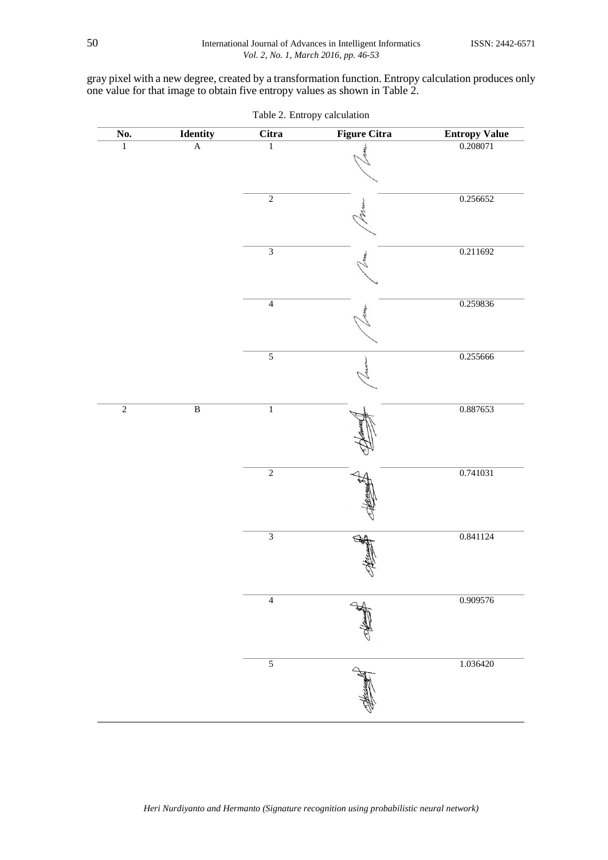gray pixel with a new degree, created by a transformation function. Entropy calculation produces only one value for that image to obtain five entropy values as shown in Table 2.

| $\overline{\text{No}}$ . | <b>Identity</b> | <b>Citra</b>   | <b>Figure Citra</b> | <b>Entropy Value</b> |
|--------------------------|-----------------|----------------|---------------------|----------------------|
| $\overline{1}$           | $\overline{A}$  | $\overline{1}$ |                     | 0.208071             |
|                          |                 | $\overline{2}$ |                     | 0.256652             |
|                          |                 | $\overline{3}$ |                     | 0.211692             |
|                          |                 | $\overline{4}$ |                     | 0.259836             |
|                          |                 | $\overline{5}$ |                     | 0.255666             |
| $\overline{2}$           | $\overline{B}$  | $\overline{1}$ |                     | 0.887653             |
|                          |                 | $\overline{2}$ |                     | 0.741031             |
|                          |                 | $\overline{3}$ |                     | 0.841124             |
|                          |                 | $\overline{4}$ |                     | 0.909576             |
|                          |                 | $\overline{5}$ |                     | 1.036420             |

Table 2. Entropy calculation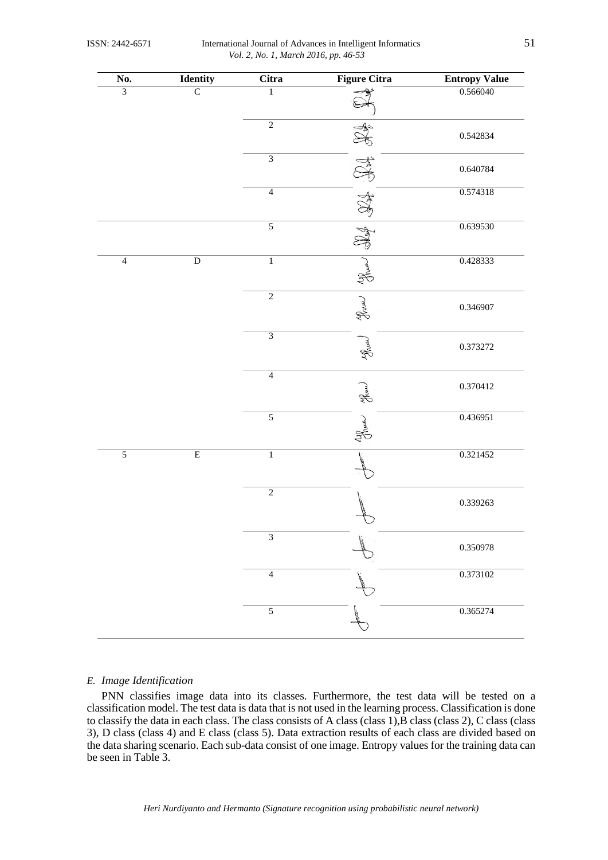ISSN: 2442-6571 International Journal of Advances in Intelligent Informatics 51 *Vol. 2, No. 1, March 2016, pp. 46-53*

| No.            | Identity       | Citra                       | <b>Figure Citra</b> | <b>Entropy Value</b> |
|----------------|----------------|-----------------------------|---------------------|----------------------|
| $\overline{3}$ | $\overline{C}$ | $\,1$                       | ∕≩                  | 0.566040             |
|                |                | $\overline{2}$              |                     | 0.542834             |
|                |                | $\overline{3}$              |                     | 0.640784             |
|                |                | $\overline{4}$              |                     | 0.574318             |
|                |                | $\overline{5}$              |                     | 0.639530             |
| $\overline{4}$ | $\overline{D}$ | $\overline{1}$              | Shuma               | 0.428333             |
|                |                | $\overline{2}$              | Jour                | 0.346907             |
|                |                | $\overline{3}$              | Jour                | 0.373272             |
|                |                | $\overline{4}$              | ghum                | 0.370412             |
|                |                | $\overline{5}$              | Journey             | 0.436951             |
| $\overline{5}$ | $\overline{E}$ | $\overline{1}$              |                     | 0.321452             |
|                |                | $\overline{2}$              |                     | 0.339263             |
|                |                | $\ensuremath{\mathfrak{Z}}$ |                     | 0.350978             |
|                |                | $\overline{4}$              |                     | 0.373102             |
|                |                | $\overline{5}$              |                     | 0.365274             |

#### *E. Image Identification*

PNN classifies image data into its classes. Furthermore, the test data will be tested on a classification model. The test data is data that is not used in the learning process. Classification is done to classify the data in each class. The class consists of A class (class 1),  $\overline{B}$  class (class 2), C class (class 3), D class (class 4) and E class (class 5). Data extraction results of each class are divided based on the data sharing scenario. Each sub-data consist of one image. Entropy values for the training data can be seen in Table 3.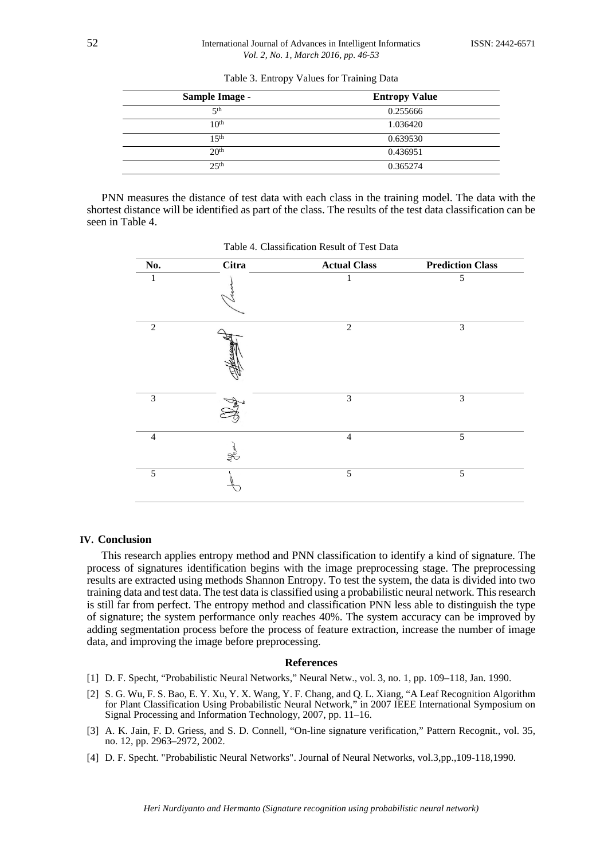| <b>Sample Image -</b> | <b>Entropy Value</b> |
|-----------------------|----------------------|
| $5$ th                | 0.255666             |
| 10 <sup>th</sup>      | 1.036420             |
| 15 <sup>th</sup>      | 0.639530             |
| 20 <sup>th</sup>      | 0.436951             |
| $2.5$ <sup>th</sup>   | 0.365274             |

Table 3. Entropy Values for Training Data

PNN measures the distance of test data with each class in the training model. The data with the shortest distance will be identified as part of the class. The results of the test data classification can be seen in Table 4.

| No.            | <b>Citra</b> | <b>Actual Class</b> | <b>Prediction Class</b> |
|----------------|--------------|---------------------|-------------------------|
| 1              |              | 1                   | $\sqrt{5}$              |
| $\mathbf{2}$   |              | 2                   | $\mathfrak{Z}$          |
| $\mathfrak 3$  |              | $\mathfrak{Z}$      | 3                       |
| $\overline{4}$ | Ghunh        | $\overline{4}$      | $\overline{5}$          |
| $\overline{5}$ |              | $\overline{5}$      | $\overline{5}$          |

Table 4. Classification Result of Test Data

# **IV. Conclusion**

This research applies entropy method and PNN classification to identify a kind of signature. The process of signatures identification begins with the image preprocessing stage. The preprocessing results are extracted using methods Shannon Entropy. To test the system, the data is divided into two training data and test data. The test data is classified using a probabilistic neural network. This research is still far from perfect. The entropy method and classification PNN less able to distinguish the type of signature; the system performance only reaches 40%. The system accuracy can be improved by adding segmentation process before the process of feature extraction, increase the number of image data, and improving the image before preprocessing.

#### **References**

- [1] D. F. Specht, "Probabilistic Neural Networks," Neural Netw., vol. 3, no. 1, pp. 109–118, Jan. 1990.
- [2] S. G. Wu, F. S. Bao, E. Y. Xu, Y. X. Wang, Y. F. Chang, and Q. L. Xiang, "A Leaf Recognition Algorithm for Plant Classification Using Probabilistic Neural Network," in 2007 IEEE International Symposium on Signal Processing and Information Technology, 2007, pp. 11–16.
- [3] A. K. Jain, F. D. Griess, and S. D. Connell, "On-line signature verification," Pattern Recognit., vol. 35, no. 12, pp. 2963–2972, 2002.
- [4] D. F. Specht. "Probabilistic Neural Networks". Journal of Neural Networks, vol.3,pp.,109-118,1990.